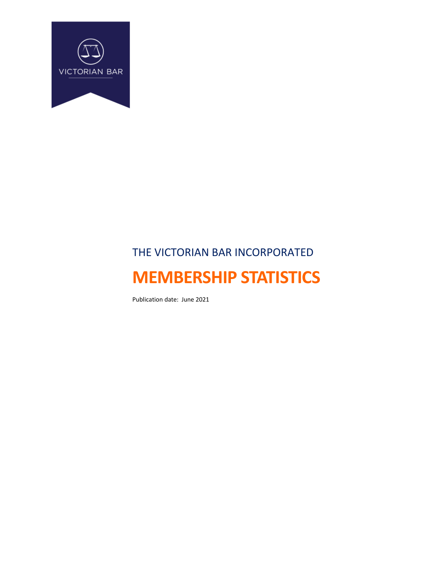

# THE VICTORIAN BAR INCORPORATED **MEMBERSHIP STATISTICS**

Publication date: June 2021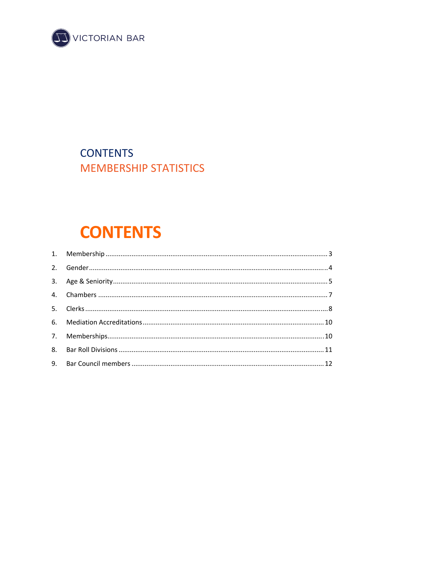

# **CONTENTS MEMBERSHIP STATISTICS**

# **CONTENTS**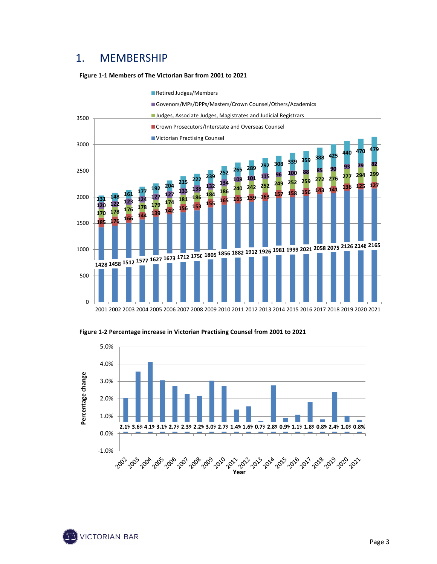### 1. MEMBERSHIP

#### **Figure 1‐1 Members of The Victorian Bar from 2001 to 2021**



Retired Judges/Members

#### **Figure 1‐2 Percentage increase in Victorian Practising Counsel from 2001 to 2021**



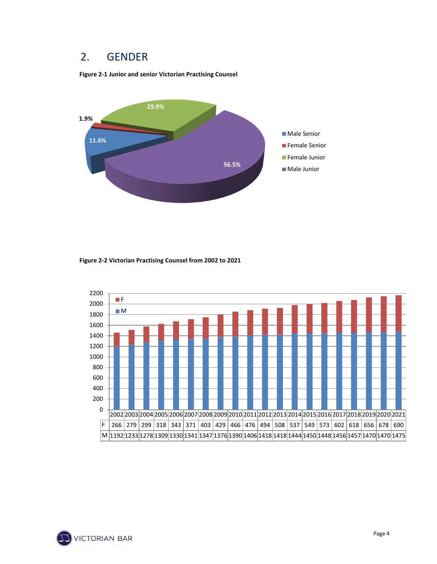#### 2. GENDER

**Figure 2‐1 Junior and senior Victorian Practising Counsel**



**Figure 2‐2 Victorian Practising Counsel from 2002 to 2021**



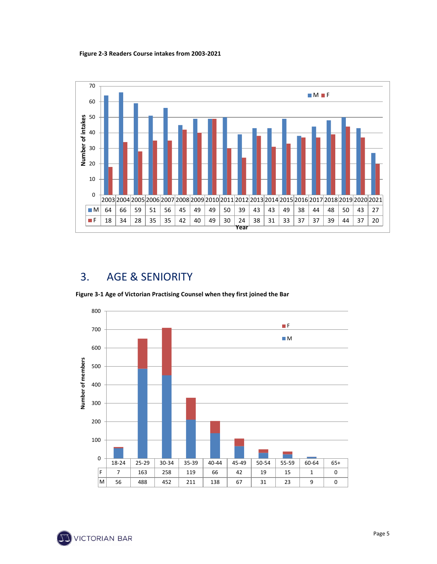**Figure 2‐3 Readers Course intakes from 2003‐2021**



## 3. AGE & SENIORITY

**Figure 3‐1 Age of Victorian Practising Counsel when they first joined the Bar**



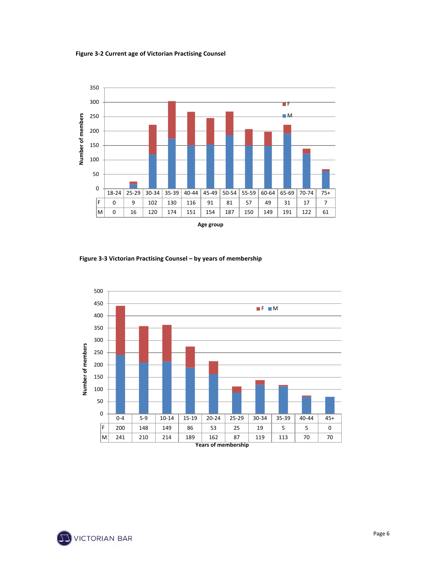**Figure 3‐2 Current age of Victorian Practising Counsel** 



**Figure 3‐3 Victorian Practising Counsel – by years of membership** 



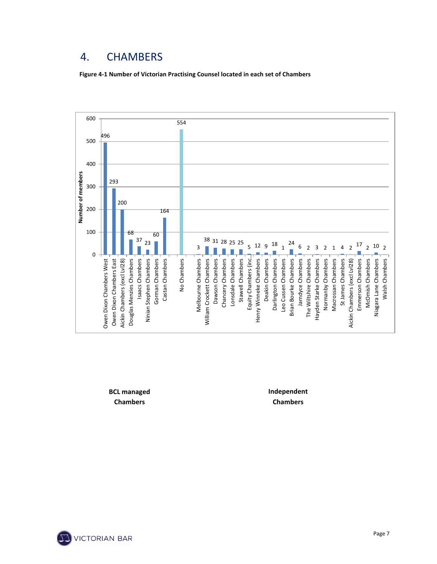### 4. CHAMBERS

**Figure 4‐1 Number of Victorian Practising Counsel located in each set of Chambers**



**BCL managed Chambers**

**Independent Chambers**

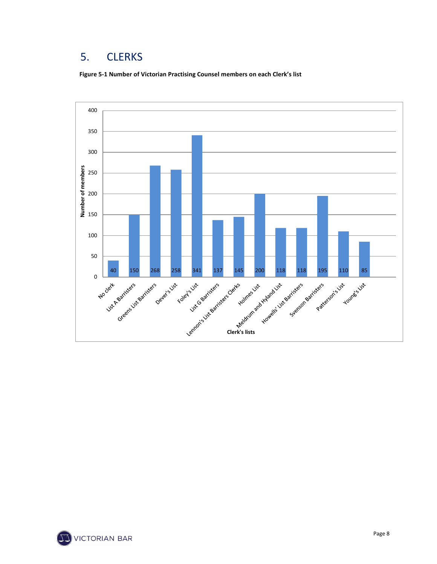### 5. CLERKS

**Figure 5‐1 Number of Victorian Practising Counsel members on each Clerk's list**



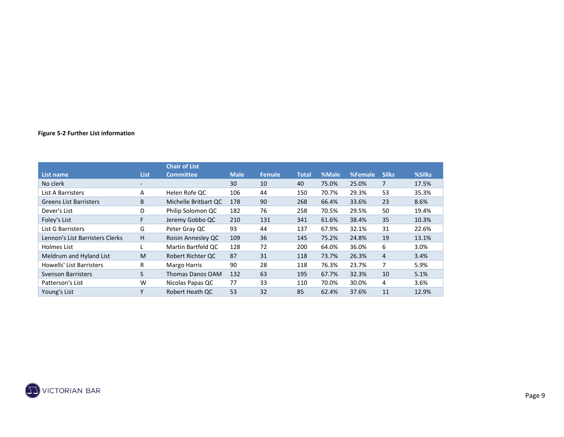#### **Figure 5‐2 Further List information**

|                                 |                          | <b>Chair of List</b>    |             |        |              |       |         |              |        |
|---------------------------------|--------------------------|-------------------------|-------------|--------|--------------|-------|---------|--------------|--------|
| List name                       | <b>List</b>              | <b>Committee</b>        | <b>Male</b> | Female | <b>Total</b> | %Male | %Female | <b>Silks</b> | %Silks |
| No clerk                        | $\overline{\phantom{a}}$ |                         | 30          | 10     | 40           | 75.0% | 25.0%   |              | 17.5%  |
| List A Barristers               | A                        | Helen Rofe QC           | 106         | 44     | 150          | 70.7% | 29.3%   | 53           | 35.3%  |
| <b>Greens List Barristers</b>   | B                        | Michelle Britbart QC    | 178         | 90     | 268          | 66.4% | 33.6%   | 23           | 8.6%   |
| Dever's List                    | D                        | Philip Solomon QC       | 182         | 76     | 258          | 70.5% | 29.5%   | 50           | 19.4%  |
| Foley's List                    | F                        | Jeremy Gobbo QC         | 210         | 131    | 341          | 61.6% | 38.4%   | 35           | 10.3%  |
| List G Barristers               | G                        | Peter Gray QC           | 93          | 44     | 137          | 67.9% | 32.1%   | 31           | 22.6%  |
| Lennon's List Barristers Clerks | H                        | Roisin Annesley QC      | 109         | 36     | 145          | 75.2% | 24.8%   | 19           | 13.1%  |
| Holmes List                     |                          | Martin Bartfeld QC      | 128         | 72     | 200          | 64.0% | 36.0%   | 6            | 3.0%   |
| Meldrum and Hyland List         | M                        | Robert Richter QC       | 87          | 31     | 118          | 73.7% | 26.3%   | 4            | 3.4%   |
| Howells' List Barristers        | R                        | <b>Margo Harris</b>     | 90          | 28     | 118          | 76.3% | 23.7%   | 7            | 5.9%   |
| <b>Svenson Barristers</b>       | S.                       | <b>Thomas Danos OAM</b> | 132         | 63     | 195          | 67.7% | 32.3%   | 10           | 5.1%   |
| Patterson's List                | W                        | Nicolas Papas QC        | 77          | 33     | 110          | 70.0% | 30.0%   | 4            | 3.6%   |
| Young's List                    | Υ                        | Robert Heath QC         | 53          | 32     | 85           | 62.4% | 37.6%   | 11           | 12.9%  |

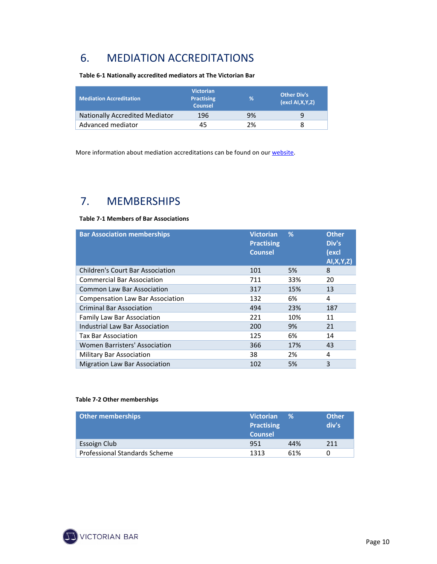### 6. MEDIATION ACCREDITATIONS

**Table 6‐1 Nationally accredited mediators at The Victorian Bar** 

| <b>Mediation Accreditation</b>        | <b>Victorian</b><br><b>Practising</b><br><b>Counsel</b> | %  | <b>Other Div's</b><br>$\left($ excl AI, X, Y, Z) |
|---------------------------------------|---------------------------------------------------------|----|--------------------------------------------------|
| <b>Nationally Accredited Mediator</b> | 196                                                     | 9% |                                                  |
| Advanced mediator                     | 45                                                      | 2% |                                                  |

More information about mediation accreditations can be found on our website.

### 7. MEMBERSHIPS

#### **Table 7‐1 Members of Bar Associations**

| <b>Bar Association memberships</b>      | <b>Victorian</b><br><b>Practising</b><br><b>Counsel</b> | %   | <b>Other</b><br>Div's<br>(excl<br>AI, X, Y, Z) |
|-----------------------------------------|---------------------------------------------------------|-----|------------------------------------------------|
| <b>Children's Court Bar Association</b> | 101                                                     | 5%  | 8                                              |
| <b>Commercial Bar Association</b>       | 711                                                     | 33% | 20                                             |
| Common Law Bar Association              | 317                                                     | 15% | 13                                             |
| <b>Compensation Law Bar Association</b> | 132                                                     | 6%  | 4                                              |
| <b>Criminal Bar Association</b>         | 494                                                     | 23% | 187                                            |
| <b>Family Law Bar Association</b>       | 221                                                     | 10% | 11                                             |
| Industrial Law Bar Association          | 200                                                     | 9%  | 21                                             |
| Tax Bar Association                     | 125                                                     | 6%  | 14                                             |
| Women Barristers' Association           | 366                                                     | 17% | 43                                             |
| <b>Military Bar Association</b>         | 38                                                      | 2%  | 4                                              |
| <b>Migration Law Bar Association</b>    | 102                                                     | 5%  | 3                                              |

#### **Table 7‐2 Other memberships**

| <b>Other memberships</b>      | <b>Victorian</b><br><b>Practising</b><br><b>Counsel</b> | ℅   | <b>Other</b><br>div's |
|-------------------------------|---------------------------------------------------------|-----|-----------------------|
| Essoign Club                  | 951                                                     | 44% | 211                   |
| Professional Standards Scheme | 1313                                                    | 61% | 0                     |

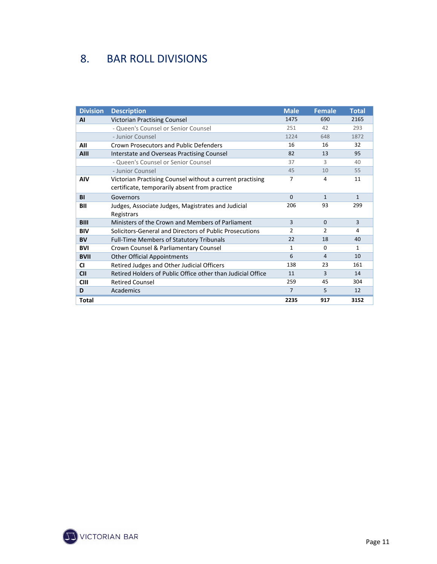## 8. BAR ROLL DIVISIONS

| <b>Division</b> | <b>Description</b>                                          | <b>Male</b>    | <b>Female</b> | <b>Total</b>   |
|-----------------|-------------------------------------------------------------|----------------|---------------|----------------|
| AI              | <b>Victorian Practising Counsel</b>                         | 1475           | 690           | 2165           |
|                 | - Queen's Counsel or Senior Counsel                         | 251            | 42            | 293            |
|                 | - Junior Counsel                                            | 1224           | 648           | 1872           |
| All             | Crown Prosecutors and Public Defenders                      | 16             | 16            | 32             |
| <b>AIII</b>     | Interstate and Overseas Practising Counsel                  | 82             | 13            | 95             |
|                 | - Queen's Counsel or Senior Counsel                         | 37             | 3             | 40             |
|                 | - Junior Counsel                                            | 45             | 10            | 55             |
| <b>AIV</b>      | Victorian Practising Counsel without a current practising   | $\overline{7}$ | 4             | 11             |
|                 | certificate, temporarily absent from practice               |                |               |                |
| <b>BI</b>       | Governors                                                   | $\Omega$       | $\mathbf{1}$  | $\mathbf{1}$   |
| BII             | Judges, Associate Judges, Magistrates and Judicial          | 206            | 93            | 299            |
|                 | Registrars                                                  |                |               |                |
| <b>BIII</b>     | Ministers of the Crown and Members of Parliament            | $\overline{3}$ | $\Omega$      | $\overline{3}$ |
| <b>BIV</b>      | Solicitors-General and Directors of Public Prosecutions     | 2              | $\mathcal{P}$ | 4              |
| <b>BV</b>       | <b>Full-Time Members of Statutory Tribunals</b>             | 22             | 18            | 40             |
| <b>BVI</b>      | Crown Counsel & Parliamentary Counsel                       | $\mathbf{1}$   | $\Omega$      | 1              |
| <b>BVII</b>     | <b>Other Official Appointments</b>                          | 6              | 4             | 10             |
| <b>CI</b>       | Retired Judges and Other Judicial Officers                  | 138            | 23            | 161            |
| <b>CII</b>      | Retired Holders of Public Office other than Judicial Office | 11             | 3             | 14             |
| <b>CIII</b>     | <b>Retired Counsel</b>                                      | 259            | 45            | 304            |
| D               | Academics                                                   | $\overline{7}$ | 5             | 12             |
| <b>Total</b>    |                                                             | 2235           | 917           | 3152           |